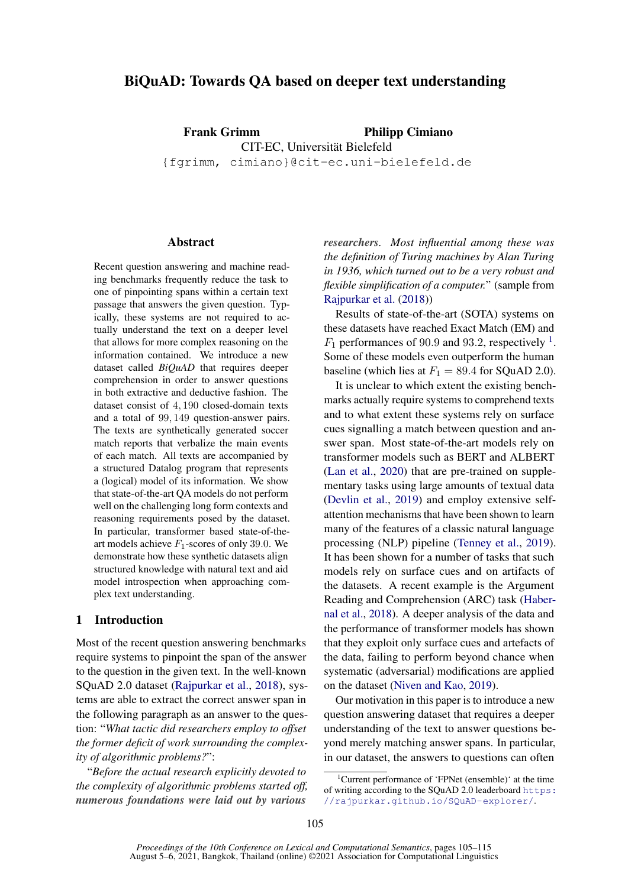# BiQuAD: Towards QA based on deeper text understanding

Frank Grimm Philipp Cimiano CIT-EC, Universität Bielefeld {fgrimm, cimiano}@cit-ec.uni-bielefeld.de

**Abstract** 

Recent question answering and machine reading benchmarks frequently reduce the task to one of pinpointing spans within a certain text passage that answers the given question. Typically, these systems are not required to actually understand the text on a deeper level that allows for more complex reasoning on the information contained. We introduce a new dataset called *BiQuAD* that requires deeper comprehension in order to answer questions in both extractive and deductive fashion. The dataset consist of 4, 190 closed-domain texts and a total of 99, 149 question-answer pairs. The texts are synthetically generated soccer match reports that verbalize the main events of each match. All texts are accompanied by a structured Datalog program that represents a (logical) model of its information. We show that state-of-the-art QA models do not perform well on the challenging long form contexts and reasoning requirements posed by the dataset. In particular, transformer based state-of-theart models achieve  $F_1$ -scores of only 39.0. We demonstrate how these synthetic datasets align structured knowledge with natural text and aid model introspection when approaching complex text understanding.

## 1 Introduction

Most of the recent question answering benchmarks require systems to pinpoint the span of the answer to the question in the given text. In the well-known SQuAD 2.0 dataset [\(Rajpurkar et al.,](#page-9-0) [2018\)](#page-9-0), systems are able to extract the correct answer span in the following paragraph as an answer to the question: "*What tactic did researchers employ to offset the former deficit of work surrounding the complexity of algorithmic problems?*":

"*Before the actual research explicitly devoted to the complexity of algorithmic problems started off, numerous foundations were laid out by various*

*researchers. Most influential among these was the definition of Turing machines by Alan Turing in 1936, which turned out to be a very robust and flexible simplification of a computer.*" (sample from [Rajpurkar et al.](#page-9-0) [\(2018\)](#page-9-0))

Results of state-of-the-art (SOTA) systems on these datasets have reached Exact Match (EM) and  $F_1$  $F_1$  performances of 90.9 and 93.2, respectively <sup>1</sup>. Some of these models even outperform the human baseline (which lies at  $F_1 = 89.4$  for SQuAD 2.0).

It is unclear to which extent the existing benchmarks actually require systems to comprehend texts and to what extent these systems rely on surface cues signalling a match between question and answer span. Most state-of-the-art models rely on transformer models such as BERT and ALBERT [\(Lan et al.,](#page-9-1) [2020\)](#page-9-1) that are pre-trained on supplementary tasks using large amounts of textual data [\(Devlin et al.,](#page-8-0) [2019\)](#page-8-0) and employ extensive selfattention mechanisms that have been shown to learn many of the features of a classic natural language processing (NLP) pipeline [\(Tenney et al.,](#page-9-2) [2019\)](#page-9-2). It has been shown for a number of tasks that such models rely on surface cues and on artifacts of the datasets. A recent example is the Argument Reading and Comprehension (ARC) task [\(Haber](#page-9-3)[nal et al.,](#page-9-3) [2018\)](#page-9-3). A deeper analysis of the data and the performance of transformer models has shown that they exploit only surface cues and artefacts of the data, failing to perform beyond chance when systematic (adversarial) modifications are applied on the dataset [\(Niven and Kao,](#page-9-4) [2019\)](#page-9-4).

Our motivation in this paper is to introduce a new question answering dataset that requires a deeper understanding of the text to answer questions beyond merely matching answer spans. In particular, in our dataset, the answers to questions can often

<span id="page-0-0"></span><sup>&</sup>lt;sup>1</sup>Current performance of 'FPNet (ensemble)' at the time of writing according to the SQuAD 2.0 leaderboard [https:](https://rajpurkar.github.io/SQuAD-explorer/) [//rajpurkar.github.io/SQuAD-explorer/](https://rajpurkar.github.io/SQuAD-explorer/).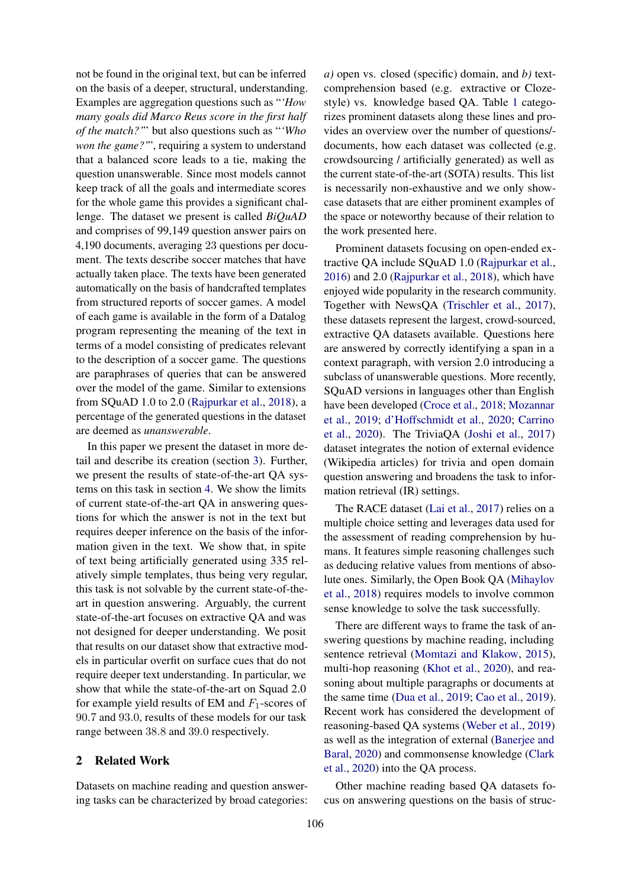not be found in the original text, but can be inferred on the basis of a deeper, structural, understanding. Examples are aggregation questions such as "*'How many goals did Marco Reus score in the first half of the match?'*" but also questions such as "*'Who won the game?'*", requiring a system to understand that a balanced score leads to a tie, making the question unanswerable. Since most models cannot keep track of all the goals and intermediate scores for the whole game this provides a significant challenge. The dataset we present is called *BiQuAD* and comprises of 99,149 question answer pairs on 4,190 documents, averaging 23 questions per document. The texts describe soccer matches that have actually taken place. The texts have been generated automatically on the basis of handcrafted templates from structured reports of soccer games. A model of each game is available in the form of a Datalog program representing the meaning of the text in terms of a model consisting of predicates relevant to the description of a soccer game. The questions are paraphrases of queries that can be answered over the model of the game. Similar to extensions from SQuAD 1.0 to 2.0 [\(Rajpurkar et al.,](#page-9-0) [2018\)](#page-9-0), a percentage of the generated questions in the dataset are deemed as *unanswerable*.

In this paper we present the dataset in more detail and describe its creation (section [3\)](#page-2-0). Further, we present the results of state-of-the-art QA systems on this task in section [4.](#page-6-0) We show the limits of current state-of-the-art QA in answering questions for which the answer is not in the text but requires deeper inference on the basis of the information given in the text. We show that, in spite of text being artificially generated using 335 relatively simple templates, thus being very regular, this task is not solvable by the current state-of-theart in question answering. Arguably, the current state-of-the-art focuses on extractive QA and was not designed for deeper understanding. We posit that results on our dataset show that extractive models in particular overfit on surface cues that do not require deeper text understanding. In particular, we show that while the state-of-the-art on Squad 2.0 for example yield results of EM and  $F_1$ -scores of 90.7 and 93.0, results of these models for our task range between 38.8 and 39.0 respectively.

# 2 Related Work

Datasets on machine reading and question answering tasks can be characterized by broad categories:

*a)* open vs. closed (specific) domain, and *b)* textcomprehension based (e.g. extractive or Clozestyle) vs. knowledge based QA. Table [1](#page-2-1) categorizes prominent datasets along these lines and provides an overview over the number of questions/ documents, how each dataset was collected (e.g. crowdsourcing / artificially generated) as well as the current state-of-the-art (SOTA) results. This list is necessarily non-exhaustive and we only showcase datasets that are either prominent examples of the space or noteworthy because of their relation to the work presented here.

Prominent datasets focusing on open-ended extractive QA include SQuAD 1.0 [\(Rajpurkar et al.,](#page-9-5) [2016\)](#page-9-5) and 2.0 [\(Rajpurkar et al.,](#page-9-0) [2018\)](#page-9-0), which have enjoyed wide popularity in the research community. Together with NewsQA [\(Trischler et al.,](#page-9-6) [2017\)](#page-9-6), these datasets represent the largest, crowd-sourced, extractive QA datasets available. Questions here are answered by correctly identifying a span in a context paragraph, with version 2.0 introducing a subclass of unanswerable questions. More recently, SQuAD versions in languages other than English have been developed [\(Croce et al.,](#page-8-1) [2018;](#page-8-1) [Mozannar](#page-9-7) [et al.,](#page-9-7) [2019;](#page-9-7) [d'Hoffschmidt et al.,](#page-8-2) [2020;](#page-8-2) [Carrino](#page-8-3) [et al.,](#page-8-3) [2020\)](#page-8-3). The TriviaQA [\(Joshi et al.,](#page-9-8) [2017\)](#page-9-8) dataset integrates the notion of external evidence (Wikipedia articles) for trivia and open domain question answering and broadens the task to information retrieval (IR) settings.

The RACE dataset [\(Lai et al.,](#page-9-9) [2017\)](#page-9-9) relies on a multiple choice setting and leverages data used for the assessment of reading comprehension by humans. It features simple reasoning challenges such as deducing relative values from mentions of absolute ones. Similarly, the Open Book QA [\(Mihaylov](#page-9-10) [et al.,](#page-9-10) [2018\)](#page-9-10) requires models to involve common sense knowledge to solve the task successfully.

There are different ways to frame the task of answering questions by machine reading, including sentence retrieval [\(Momtazi and Klakow,](#page-9-11) [2015\)](#page-9-11), multi-hop reasoning [\(Khot et al.,](#page-9-12) [2020\)](#page-9-12), and reasoning about multiple paragraphs or documents at the same time [\(Dua et al.,](#page-8-4) [2019;](#page-8-4) [Cao et al.,](#page-8-5) [2019\)](#page-8-5). Recent work has considered the development of reasoning-based QA systems [\(Weber et al.,](#page-10-0) [2019\)](#page-10-0) as well as the integration of external [\(Banerjee and](#page-8-6) [Baral,](#page-8-6) [2020\)](#page-8-6) and commonsense knowledge [\(Clark](#page-8-7) [et al.,](#page-8-7) [2020\)](#page-8-7) into the QA process.

Other machine reading based QA datasets focus on answering questions on the basis of struc-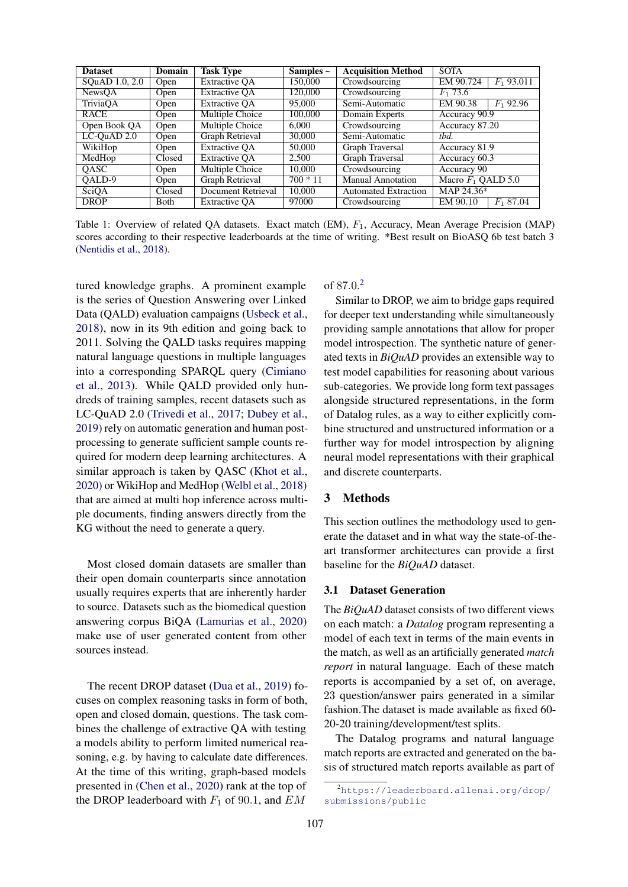<span id="page-2-1"></span>

| <b>Dataset</b> | <b>Domain</b> | <b>Task Type</b>     | Samples $\sim$ | <b>Acquisition Method</b>   | <b>SOTA</b>               |
|----------------|---------------|----------------------|----------------|-----------------------------|---------------------------|
| SQuAD 1.0, 2.0 | Open          | <b>Extractive OA</b> | 150,000        | Crowdsourcing               | EM 90.724<br>$F_1$ 93.011 |
| NewsOA         | Open          | <b>Extractive OA</b> | 120,000        | Crowdsourcing               | $F_1$ 73.6                |
| TriviaOA       | Open          | <b>Extractive QA</b> | 95,000         | Semi-Automatic              | $F_1$ 92.96<br>EM 90.38   |
| <b>RACE</b>    | Open          | Multiple Choice      | 100,000        | Domain Experts              | Accuracy 90.9             |
| Open Book QA   | Open          | Multiple Choice      | 6.000          | Crowdsourcing               | Accuracy 87.20            |
| LC-QuAD $2.0$  | Open          | Graph Retrieval      | 30,000         | Semi-Automatic              | thd.                      |
| WikiHop        | Open          | <b>Extractive OA</b> | 50,000         | Graph Traversal             | Accuracy 81.9             |
| MedHop         | Closed        | <b>Extractive OA</b> | 2,500          | Graph Traversal             | Accuracy 60.3             |
| <b>OASC</b>    | Open          | Multiple Choice      | 10,000         | Crowdsourcing               | Accuracy 90               |
| OALD-9         | Open          | Graph Retrieval      | $700 * 11$     | Manual Annotation           | Macro $F_1$ OALD 5.0      |
| SciQA          | Closed        | Document Retrieval   | 10,000         | <b>Automated Extraction</b> | MAP 24.36*                |
| <b>DROP</b>    | Both          | <b>Extractive OA</b> | 97000          | Crowdsourcing               | EM 90.10<br>$F_1$ 87.04   |

Table 1: Overview of related QA datasets. Exact match (EM),  $F_1$ , Accuracy, Mean Average Precision (MAP) scores according to their respective leaderboards at the time of writing. \*Best result on BioASQ 6b test batch 3 [\(Nentidis et al.,](#page-9-13) [2018\)](#page-9-13).

tured knowledge graphs. A prominent example is the series of Question Answering over Linked Data (QALD) evaluation campaigns [\(Usbeck et al.,](#page-10-1) [2018\)](#page-10-1), now in its 9th edition and going back to 2011. Solving the QALD tasks requires mapping natural language questions in multiple languages into a corresponding SPARQL query [\(Cimiano](#page-8-8) [et al.,](#page-8-8) [2013\)](#page-8-8). While QALD provided only hundreds of training samples, recent datasets such as LC-QuAD 2.0 [\(Trivedi et al.,](#page-10-2) [2017;](#page-10-2) [Dubey et al.,](#page-8-9) [2019\)](#page-8-9) rely on automatic generation and human postprocessing to generate sufficient sample counts required for modern deep learning architectures. A similar approach is taken by QASC [\(Khot et al.,](#page-9-12) [2020\)](#page-9-12) or WikiHop and MedHop [\(Welbl et al.,](#page-10-3) [2018\)](#page-10-3) that are aimed at multi hop inference across multiple documents, finding answers directly from the KG without the need to generate a query.

Most closed domain datasets are smaller than their open domain counterparts since annotation usually requires experts that are inherently harder to source. Datasets such as the biomedical question answering corpus BiQA [\(Lamurias et al.,](#page-9-14) [2020\)](#page-9-14) make use of user generated content from other sources instead.

The recent DROP dataset [\(Dua et al.,](#page-8-4) [2019\)](#page-8-4) focuses on complex reasoning tasks in form of both, open and closed domain, questions. The task combines the challenge of extractive QA with testing a models ability to perform limited numerical reasoning, e.g. by having to calculate date differences. At the time of this writing, graph-based models presented in [\(Chen et al.,](#page-8-10) [2020\)](#page-8-10) rank at the top of the DROP leaderboard with  $F_1$  of 90.1, and  $EM$ 

# of 87.0. [2](#page-2-2)

Similar to DROP, we aim to bridge gaps required for deeper text understanding while simultaneously providing sample annotations that allow for proper model introspection. The synthetic nature of generated texts in *BiQuAD* provides an extensible way to test model capabilities for reasoning about various sub-categories. We provide long form text passages alongside structured representations, in the form of Datalog rules, as a way to either explicitly combine structured and unstructured information or a further way for model introspection by aligning neural model representations with their graphical and discrete counterparts.

## <span id="page-2-0"></span>3 Methods

This section outlines the methodology used to generate the dataset and in what way the state-of-theart transformer architectures can provide a first baseline for the *BiQuAD* dataset.

#### 3.1 Dataset Generation

The *BiQuAD* dataset consists of two different views on each match: a *Datalog* program representing a model of each text in terms of the main events in the match, as well as an artificially generated *match report* in natural language. Each of these match reports is accompanied by a set of, on average, 23 question/answer pairs generated in a similar fashion.The dataset is made available as fixed 60- 20-20 training/development/test splits.

The Datalog programs and natural language match reports are extracted and generated on the basis of structured match reports available as part of

<span id="page-2-2"></span><sup>2</sup>[https://leaderboard.allenai.org/drop/](https://leaderboard.allenai.org/drop/submissions/public) [submissions/public](https://leaderboard.allenai.org/drop/submissions/public)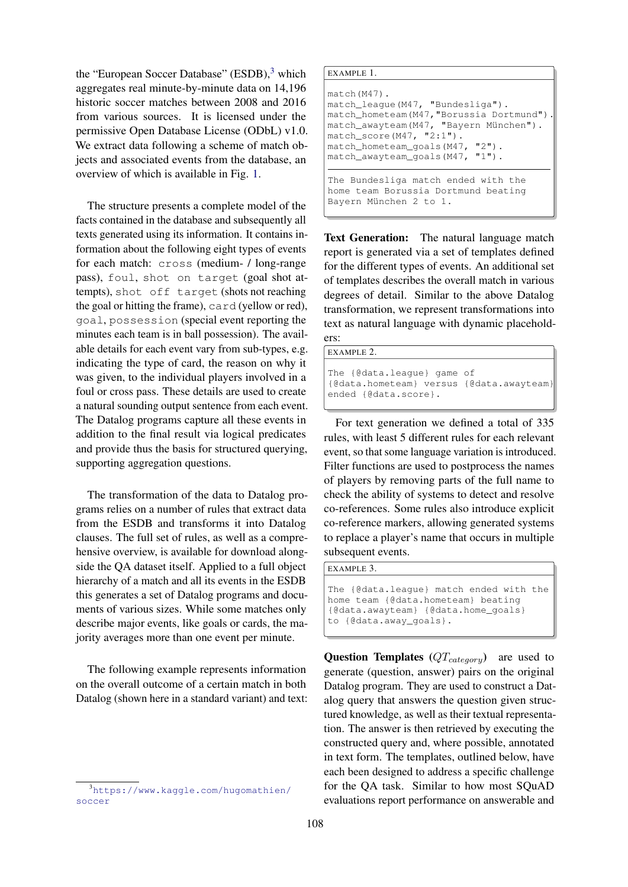the "European Soccer Database" (ESDB),<sup>[3](#page-3-0)</sup> which aggregates real minute-by-minute data on 14,196 historic soccer matches between 2008 and 2016 from various sources. It is licensed under the permissive Open Database License (ODbL) v1.0. We extract data following a scheme of match objects and associated events from the database, an overview of which is available in Fig. [1.](#page-4-0)

The structure presents a complete model of the facts contained in the database and subsequently all texts generated using its information. It contains information about the following eight types of events for each match: cross (medium- / long-range pass), foul, shot on target (goal shot attempts), shot off target (shots not reaching the goal or hitting the frame), card (yellow or red), goal, possession (special event reporting the minutes each team is in ball possession). The available details for each event vary from sub-types, e.g. indicating the type of card, the reason on why it was given, to the individual players involved in a foul or cross pass. These details are used to create a natural sounding output sentence from each event. The Datalog programs capture all these events in addition to the final result via logical predicates and provide thus the basis for structured querying, supporting aggregation questions.

The transformation of the data to Datalog programs relies on a number of rules that extract data from the ESDB and transforms it into Datalog clauses. The full set of rules, as well as a comprehensive overview, is available for download alongside the QA dataset itself. Applied to a full object hierarchy of a match and all its events in the ESDB this generates a set of Datalog programs and documents of various sizes. While some matches only describe major events, like goals or cards, the majority averages more than one event per minute.

The following example represents information on the overall outcome of a certain match in both Datalog (shown here in a standard variant) and text: EXAMPLE 1.

```
match(M47).
match_league(M47, "Bundesliga").
match_hometeam(M47,"Borussia Dortmund").
match_awayteam(M47, "Bayern München").
match_score(M47, "2:1").
match_hometeam_goals(M47, "2").
match_awayteam_goals(M47, "1").
The Bundesliga match ended with the
```
home team Borussia Dortmund beating Bayern München 2 to 1.

Text Generation: The natural language match report is generated via a set of templates defined for the different types of events. An additional set of templates describes the overall match in various degrees of detail. Similar to the above Datalog transformation, we represent transformations into text as natural language with dynamic placeholders:

EXAMPLE 2.

```
The {@data.league} game of
{@data.hometeam} versus {@data.awayteam}
ended {@data.score}.
```
For text generation we defined a total of 335 rules, with least 5 different rules for each relevant event, so that some language variation is introduced. Filter functions are used to postprocess the names of players by removing parts of the full name to check the ability of systems to detect and resolve co-references. Some rules also introduce explicit co-reference markers, allowing generated systems to replace a player's name that occurs in multiple subsequent events.

EXAMPLE 3.

The {@data.league} match ended with the home team {@data.hometeam} beating {@data.awayteam} {@data.home\_goals} to {@data.away\_goals}.

**Question Templates**  $(QT_{category})$  are used to generate (question, answer) pairs on the original Datalog program. They are used to construct a Datalog query that answers the question given structured knowledge, as well as their textual representation. The answer is then retrieved by executing the constructed query and, where possible, annotated in text form. The templates, outlined below, have each been designed to address a specific challenge for the QA task. Similar to how most SQuAD evaluations report performance on answerable and

<span id="page-3-0"></span><sup>3</sup>[https://www.kaggle.com/hugomathien/](https://www.kaggle.com/hugomathien/soccer) [soccer](https://www.kaggle.com/hugomathien/soccer)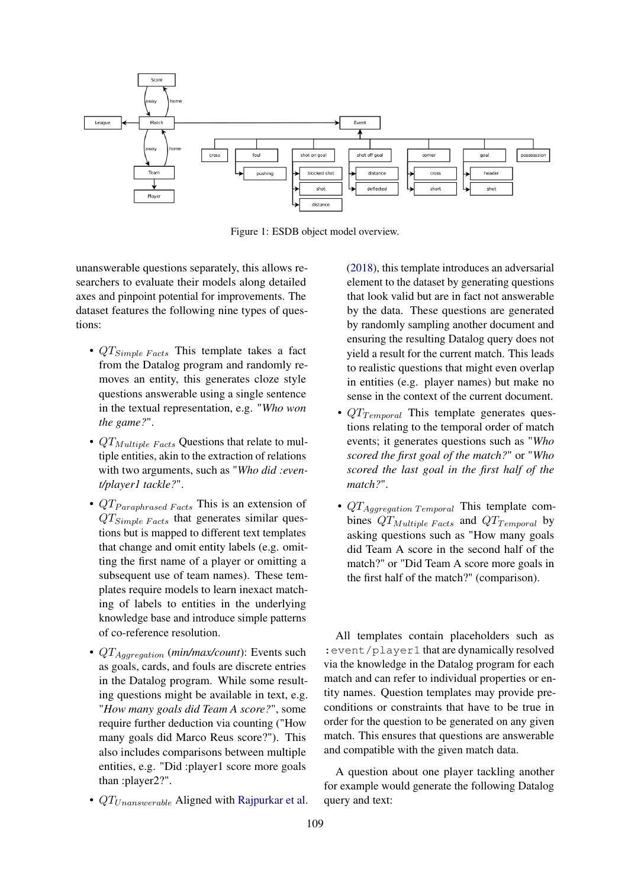<span id="page-4-0"></span>

Figure 1: ESDB object model overview.

unanswerable questions separately, this allows researchers to evaluate their models along detailed axes and pinpoint potential for improvements. The dataset features the following nine types of questions:

- $QT_{Simple \text{ Facts}}$  This template takes a fact from the Datalog program and randomly removes an entity, this generates cloze style questions answerable using a single sentence in the textual representation, e.g. "*Who won the game?*".
- $QT_{Multiple\ Facts}$  Questions that relate to multiple entities, akin to the extraction of relations with two arguments, such as "*Who did :event/player1 tackle?*".
- $QT$  *Paraphrased Facts* This is an extension of  $QT_{Simple Facts}$  that generates similar questions but is mapped to different text templates that change and omit entity labels (e.g. omitting the first name of a player or omitting a subsequent use of team names). These templates require models to learn inexact matching of labels to entities in the underlying knowledge base and introduce simple patterns of co-reference resolution.
- QTAggregation (*min/max/count*): Events such as goals, cards, and fouls are discrete entries in the Datalog program. While some resulting questions might be available in text, e.g. "*How many goals did Team A score?*", some require further deduction via counting ("How many goals did Marco Reus score?"). This also includes comparisons between multiple entities, e.g. "Did :player1 score more goals than :player2?".
- $QT_{Unanswerable}$  Aligned with [Rajpurkar et al.](#page-9-0)

[\(2018\)](#page-9-0), this template introduces an adversarial element to the dataset by generating questions that look valid but are in fact not answerable by the data. These questions are generated by randomly sampling another document and ensuring the resulting Datalog query does not yield a result for the current match. This leads to realistic questions that might even overlap in entities (e.g. player names) but make no sense in the context of the current document.

- $QT$ <sub>Temporal</sub> This template generates questions relating to the temporal order of match events; it generates questions such as "*Who scored the first goal of the match?*" or "*Who scored the last goal in the first half of the match?*".
- $QT_{Aq\text{ggregation Temporal}}$  This template combines  $QT_{Multiple\ Facts}$  and  $QT_{Temporal}$  by asking questions such as "How many goals did Team A score in the second half of the match?" or "Did Team A score more goals in the first half of the match?" (comparison).

All templates contain placeholders such as :event/player1 that are dynamically resolved via the knowledge in the Datalog program for each match and can refer to individual properties or entity names. Question templates may provide preconditions or constraints that have to be true in order for the question to be generated on any given match. This ensures that questions are answerable and compatible with the given match data.

A question about one player tackling another for example would generate the following Datalog query and text: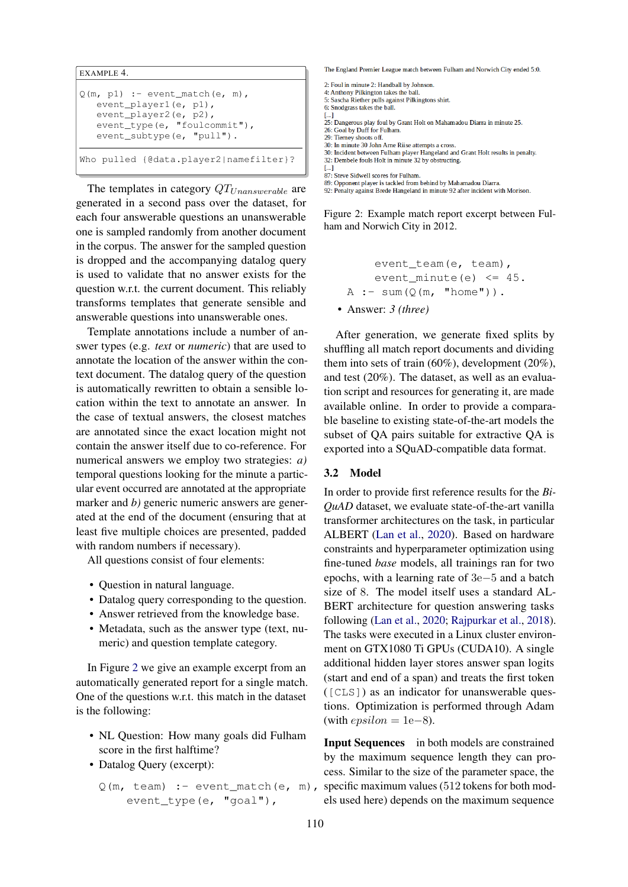```
EXAMPLE 4.
Q(m, pl) :- event_match(e, m),
   event_player1(e, p1),
   event_player2(e, p2),
   event_type(e, "foulcommit"),
   event_subtype(e, "pull").
Who pulled {@data.player2|namefilter}?
```
The templates in category  $QT_{Unanswerable}$  are generated in a second pass over the dataset, for each four answerable questions an unanswerable one is sampled randomly from another document in the corpus. The answer for the sampled question is dropped and the accompanying datalog query is used to validate that no answer exists for the question w.r.t. the current document. This reliably transforms templates that generate sensible and answerable questions into unanswerable ones.

Template annotations include a number of answer types (e.g. *text* or *numeric*) that are used to annotate the location of the answer within the context document. The datalog query of the question is automatically rewritten to obtain a sensible location within the text to annotate an answer. In the case of textual answers, the closest matches are annotated since the exact location might not contain the answer itself due to co-reference. For numerical answers we employ two strategies: *a)* temporal questions looking for the minute a particular event occurred are annotated at the appropriate marker and *b*) generic numeric answers are generated at the end of the document (ensuring that at least five multiple choices are presented, padded with random numbers if necessary).

All questions consist of four elements:

- Question in natural language.
- Datalog query corresponding to the question.
- Answer retrieved from the knowledge base.
- Metadata, such as the answer type (text, numeric) and question template category.

In Figure [2](#page-5-0) we give an example excerpt from an automatically generated report for a single match. One of the questions w.r.t. this match in the dataset is the following:

- NL Question: How many goals did Fulham score in the first halftime?
- Datalog Query (excerpt):

```
Q(m, \text{ team}) :- event_match(e, m),
    event_type(e, "goal"),
```
<span id="page-5-0"></span>The England Premier League match between Fulham and Norwich City ended 5:0

- 2: Foul in minute 2: Handball by Johnson
- 4: Anthony Pilkington takes the ball. 5: Sascha Riether pulls against Pilkingtons shirt.
- 6: Snodgrass takes the ball.
- 
- [...]<br>25: Dangerous play foul by Grant Holt on Mahamadou Diarra in minute 25.<br>26: Goal by Duff for Fulham.
- 26: Goal by Duff for Fulham 29: Tierney shoots off.
- 30: In minute 30 John Arne Riise attempts a cross
- 30: Incident between Fulham player Hangeland and Grant Holt results in penalty.<br>32: Dembele fouls Holt in minute 32 by obstructing.
- 
- $L_{1}$ 87: Steve Sidwell scores for Fulham.
- 
- 89: Opponent player is tackled from behind by Mahamadou Diarra.<br>89: Opponent player is tackled from behind by Mahamadou Diarra.<br>92: Penalty against Brede Hangeland in minute 92 after incident with Morison.

Figure 2: Example match report excerpt between Fulham and Norwich City in 2012.

event\_team(e, team), event\_minute(e) <= 45. A :- sum(Q(m, "home")). • Answer: *3 (three)*

After generation, we generate fixed splits by shuffling all match report documents and dividing them into sets of train (60%), development (20%), and test (20%). The dataset, as well as an evaluation script and resources for generating it, are made available online. In order to provide a comparable baseline to existing state-of-the-art models the subset of QA pairs suitable for extractive QA is exported into a SQuAD-compatible data format.

#### 3.2 Model

In order to provide first reference results for the *Bi-QuAD* dataset, we evaluate state-of-the-art vanilla transformer architectures on the task, in particular ALBERT [\(Lan et al.,](#page-9-1) [2020\)](#page-9-1). Based on hardware constraints and hyperparameter optimization using fine-tuned *base* models, all trainings ran for two epochs, with a learning rate of 3e−5 and a batch size of 8. The model itself uses a standard AL-BERT architecture for question answering tasks following [\(Lan et al.,](#page-9-1) [2020;](#page-9-1) [Rajpurkar et al.,](#page-9-0) [2018\)](#page-9-0). The tasks were executed in a Linux cluster environment on GTX1080 Ti GPUs (CUDA10). A single additional hidden layer stores answer span logits (start and end of a span) and treats the first token ([CLS]) as an indicator for unanswerable questions. Optimization is performed through Adam (with  $epsilon = 1e-8$ ).

Input Sequences in both models are constrained by the maximum sequence length they can process. Similar to the size of the parameter space, the specific maximum values (512 tokens for both models used here) depends on the maximum sequence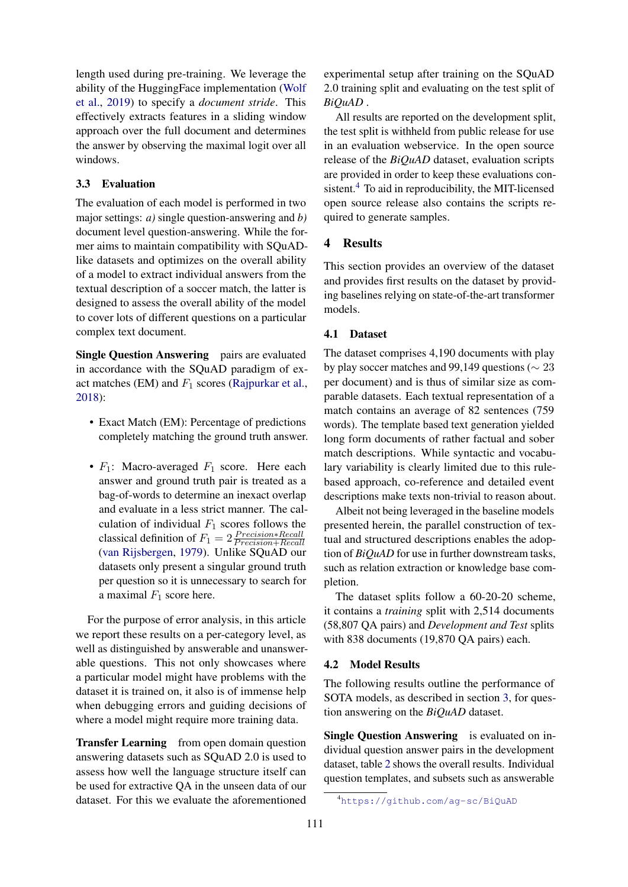length used during pre-training. We leverage the ability of the HuggingFace implementation [\(Wolf](#page-10-4) [et al.,](#page-10-4) [2019\)](#page-10-4) to specify a *document stride*. This effectively extracts features in a sliding window approach over the full document and determines the answer by observing the maximal logit over all windows.

# 3.3 Evaluation

The evaluation of each model is performed in two major settings: *a)* single question-answering and *b)* document level question-answering. While the former aims to maintain compatibility with SQuADlike datasets and optimizes on the overall ability of a model to extract individual answers from the textual description of a soccer match, the latter is designed to assess the overall ability of the model to cover lots of different questions on a particular complex text document.

Single Question Answering pairs are evaluated in accordance with the SQuAD paradigm of exact matches (EM) and  $F_1$  scores [\(Rajpurkar et al.,](#page-9-0) [2018\)](#page-9-0):

- Exact Match (EM): Percentage of predictions completely matching the ground truth answer.
- $F_1$ : Macro-averaged  $F_1$  score. Here each answer and ground truth pair is treated as a bag-of-words to determine an inexact overlap and evaluate in a less strict manner. The calculation of individual  $F_1$  scores follows the classical definition of  $F_1 = 2 \frac{Precision * Recall}{Precision + Recall}$ [\(van Rijsbergen,](#page-9-15) [1979\)](#page-9-15). Unlike SQuAD our datasets only present a singular ground truth per question so it is unnecessary to search for a maximal  $F_1$  score here.

For the purpose of error analysis, in this article we report these results on a per-category level, as well as distinguished by answerable and unanswerable questions. This not only showcases where a particular model might have problems with the dataset it is trained on, it also is of immense help when debugging errors and guiding decisions of where a model might require more training data.

Transfer Learning from open domain question answering datasets such as SQuAD 2.0 is used to assess how well the language structure itself can be used for extractive QA in the unseen data of our dataset. For this we evaluate the aforementioned

experimental setup after training on the SQuAD 2.0 training split and evaluating on the test split of *BiQuAD* .

All results are reported on the development split, the test split is withheld from public release for use in an evaluation webservice. In the open source release of the *BiQuAD* dataset, evaluation scripts are provided in order to keep these evaluations con-sistent.<sup>[4](#page-6-1)</sup> To aid in reproducibility, the MIT-licensed open source release also contains the scripts required to generate samples.

# <span id="page-6-0"></span>4 Results

This section provides an overview of the dataset and provides first results on the dataset by providing baselines relying on state-of-the-art transformer models.

## 4.1 Dataset

The dataset comprises 4,190 documents with play by play soccer matches and 99,149 questions ( $\sim$  23 per document) and is thus of similar size as comparable datasets. Each textual representation of a match contains an average of 82 sentences (759 words). The template based text generation yielded long form documents of rather factual and sober match descriptions. While syntactic and vocabulary variability is clearly limited due to this rulebased approach, co-reference and detailed event descriptions make texts non-trivial to reason about.

Albeit not being leveraged in the baseline models presented herein, the parallel construction of textual and structured descriptions enables the adoption of *BiQuAD* for use in further downstream tasks, such as relation extraction or knowledge base completion.

The dataset splits follow a 60-20-20 scheme, it contains a *training* split with 2,514 documents (58,807 QA pairs) and *Development and Test* splits with 838 documents (19,870 QA pairs) each.

#### 4.2 Model Results

The following results outline the performance of SOTA models, as described in section [3,](#page-2-0) for question answering on the *BiQuAD* dataset.

Single Question Answering is evaluated on individual question answer pairs in the development dataset, table [2](#page-7-0) shows the overall results. Individual question templates, and subsets such as answerable

<span id="page-6-1"></span><sup>4</sup><https://github.com/ag-sc/BiQuAD>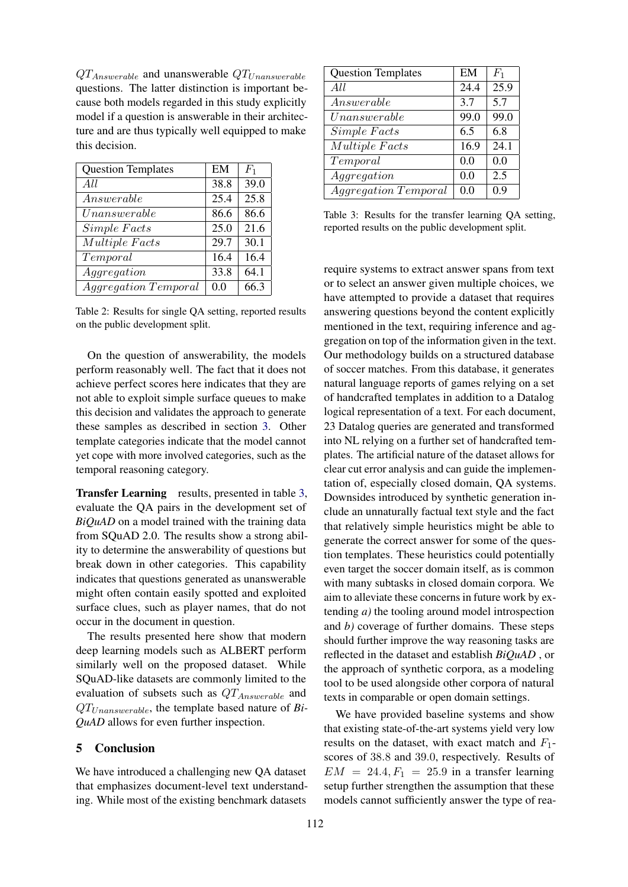$QT_{Answerable}$  and unanswerable  $QT_{Unanswerable}$ questions. The latter distinction is important because both models regarded in this study explicitly model if a question is answerable in their architecture and are thus typically well equipped to make this decision.

<span id="page-7-0"></span>

| <b>Question Templates</b>   | EM   | $F_1$ |
|-----------------------------|------|-------|
| All                         | 38.8 | 39.0  |
| Answerable                  | 25.4 | 25.8  |
| Unanswerable                | 86.6 | 86.6  |
| Simple Facts                | 25.0 | 21.6  |
| Multiple Facts              | 29.7 | 30.1  |
| Temporal                    | 16.4 | 16.4  |
| Aggregation                 | 33.8 | 64.1  |
| <i>Aggregation Temporal</i> | 0.0  | 66.3  |

Table 2: Results for single QA setting, reported results on the public development split.

On the question of answerability, the models perform reasonably well. The fact that it does not achieve perfect scores here indicates that they are not able to exploit simple surface queues to make this decision and validates the approach to generate these samples as described in section [3.](#page-2-0) Other template categories indicate that the model cannot yet cope with more involved categories, such as the temporal reasoning category.

**Transfer Learning** results, presented in table [3,](#page-7-1) evaluate the QA pairs in the development set of *BiQuAD* on a model trained with the training data from SQuAD 2.0. The results show a strong ability to determine the answerability of questions but break down in other categories. This capability indicates that questions generated as unanswerable might often contain easily spotted and exploited surface clues, such as player names, that do not occur in the document in question.

The results presented here show that modern deep learning models such as ALBERT perform similarly well on the proposed dataset. While SQuAD-like datasets are commonly limited to the evaluation of subsets such as  $QT_{Answerable}$  and QTUnanswerable, the template based nature of *Bi-QuAD* allows for even further inspection.

### 5 Conclusion

We have introduced a challenging new QA dataset that emphasizes document-level text understanding. While most of the existing benchmark datasets

<span id="page-7-1"></span>

| <b>Question Templates</b>   | EM   | $F_1$ |
|-----------------------------|------|-------|
| All                         | 24.4 | 25.9  |
| Answerable                  | 3.7  | 5.7   |
| Unanswerable                | 99.0 | 99.0  |
| Simple Facts                | 6.5  | 6.8   |
| Multiple Facts              | 16.9 | 24.1  |
| Temporal                    | 0.0  | 0.0   |
| Aggregation                 | 0.0  | 2.5   |
| <i>Aggregation Temporal</i> | 0.0  | 0.9   |

Table 3: Results for the transfer learning QA setting, reported results on the public development split.

require systems to extract answer spans from text or to select an answer given multiple choices, we have attempted to provide a dataset that requires answering questions beyond the content explicitly mentioned in the text, requiring inference and aggregation on top of the information given in the text. Our methodology builds on a structured database of soccer matches. From this database, it generates natural language reports of games relying on a set of handcrafted templates in addition to a Datalog logical representation of a text. For each document, 23 Datalog queries are generated and transformed into NL relying on a further set of handcrafted templates. The artificial nature of the dataset allows for clear cut error analysis and can guide the implementation of, especially closed domain, QA systems. Downsides introduced by synthetic generation include an unnaturally factual text style and the fact that relatively simple heuristics might be able to generate the correct answer for some of the question templates. These heuristics could potentially even target the soccer domain itself, as is common with many subtasks in closed domain corpora. We aim to alleviate these concerns in future work by extending *a)* the tooling around model introspection and *b)* coverage of further domains. These steps should further improve the way reasoning tasks are reflected in the dataset and establish *BiQuAD* , or the approach of synthetic corpora, as a modeling tool to be used alongside other corpora of natural texts in comparable or open domain settings.

We have provided baseline systems and show that existing state-of-the-art systems yield very low results on the dataset, with exact match and  $F_1$ scores of 38.8 and 39.0, respectively. Results of  $EM = 24.4, F_1 = 25.9$  in a transfer learning setup further strengthen the assumption that these models cannot sufficiently answer the type of rea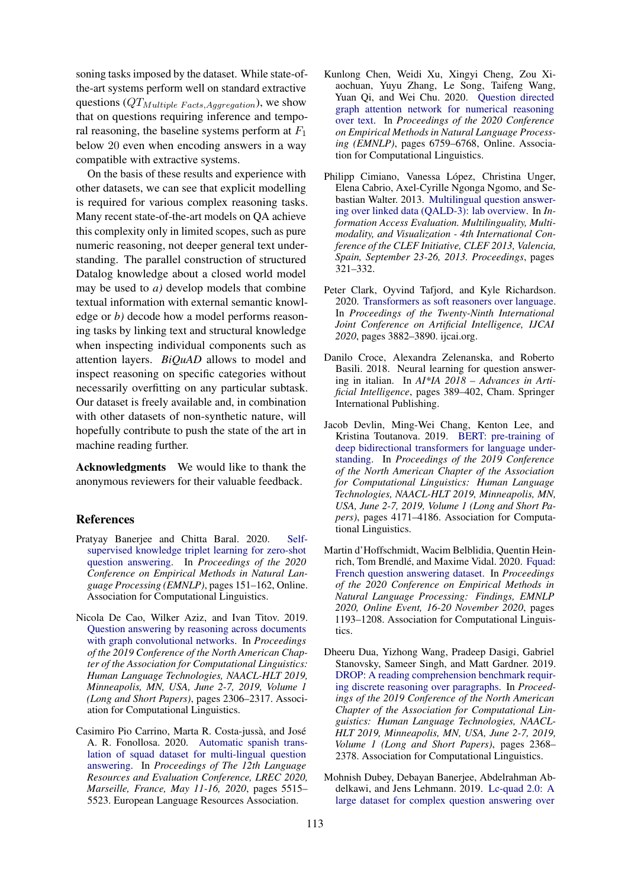soning tasks imposed by the dataset. While state-ofthe-art systems perform well on standard extractive questions  $(QT_{Multiple \text{ Facts}, Aggregation})$ , we show that on questions requiring inference and temporal reasoning, the baseline systems perform at  $F_1$ below 20 even when encoding answers in a way compatible with extractive systems.

On the basis of these results and experience with other datasets, we can see that explicit modelling is required for various complex reasoning tasks. Many recent state-of-the-art models on QA achieve this complexity only in limited scopes, such as pure numeric reasoning, not deeper general text understanding. The parallel construction of structured Datalog knowledge about a closed world model may be used to *a)* develop models that combine textual information with external semantic knowledge or *b)* decode how a model performs reasoning tasks by linking text and structural knowledge when inspecting individual components such as attention layers. *BiQuAD* allows to model and inspect reasoning on specific categories without necessarily overfitting on any particular subtask. Our dataset is freely available and, in combination with other datasets of non-synthetic nature, will hopefully contribute to push the state of the art in machine reading further.

Acknowledgments We would like to thank the anonymous reviewers for their valuable feedback.

### References

- <span id="page-8-6"></span>Pratyay Banerjee and Chitta Baral. 2020. [Self](https://doi.org/10.18653/v1/2020.emnlp-main.11)[supervised knowledge triplet learning for zero-shot](https://doi.org/10.18653/v1/2020.emnlp-main.11) [question answering.](https://doi.org/10.18653/v1/2020.emnlp-main.11) In *Proceedings of the 2020 Conference on Empirical Methods in Natural Language Processing (EMNLP)*, pages 151–162, Online. Association for Computational Linguistics.
- <span id="page-8-5"></span>Nicola De Cao, Wilker Aziz, and Ivan Titov. 2019. [Question answering by reasoning across documents](https://doi.org/10.18653/v1/n19-1240) [with graph convolutional networks.](https://doi.org/10.18653/v1/n19-1240) In *Proceedings of the 2019 Conference of the North American Chapter of the Association for Computational Linguistics: Human Language Technologies, NAACL-HLT 2019, Minneapolis, MN, USA, June 2-7, 2019, Volume 1 (Long and Short Papers)*, pages 2306–2317. Association for Computational Linguistics.
- <span id="page-8-3"></span>Casimiro Pio Carrino, Marta R. Costa-jussà, and José A. R. Fonollosa. 2020. [Automatic spanish trans](https://www.aclweb.org/anthology/2020.lrec-1.677/)[lation of squad dataset for multi-lingual question](https://www.aclweb.org/anthology/2020.lrec-1.677/) [answering.](https://www.aclweb.org/anthology/2020.lrec-1.677/) In *Proceedings of The 12th Language Resources and Evaluation Conference, LREC 2020, Marseille, France, May 11-16, 2020*, pages 5515– 5523. European Language Resources Association.
- <span id="page-8-10"></span>Kunlong Chen, Weidi Xu, Xingyi Cheng, Zou Xiaochuan, Yuyu Zhang, Le Song, Taifeng Wang, Yuan Qi, and Wei Chu. 2020. [Question directed](https://doi.org/10.18653/v1/2020.emnlp-main.549) [graph attention network for numerical reasoning](https://doi.org/10.18653/v1/2020.emnlp-main.549) [over text.](https://doi.org/10.18653/v1/2020.emnlp-main.549) In *Proceedings of the 2020 Conference on Empirical Methods in Natural Language Processing (EMNLP)*, pages 6759–6768, Online. Association for Computational Linguistics.
- <span id="page-8-8"></span>Philipp Cimiano, Vanessa López, Christina Unger, Elena Cabrio, Axel-Cyrille Ngonga Ngomo, and Sebastian Walter. 2013. [Multilingual question answer](https://doi.org/10.1007/978-3-642-40802-1_30)[ing over linked data \(QALD-3\): lab overview.](https://doi.org/10.1007/978-3-642-40802-1_30) In *Information Access Evaluation. Multilinguality, Multimodality, and Visualization - 4th International Conference of the CLEF Initiative, CLEF 2013, Valencia, Spain, September 23-26, 2013. Proceedings*, pages 321–332.
- <span id="page-8-7"></span>Peter Clark, Oyvind Tafjord, and Kyle Richardson. 2020. [Transformers as soft reasoners over language.](https://doi.org/10.24963/ijcai.2020/537) In *Proceedings of the Twenty-Ninth International Joint Conference on Artificial Intelligence, IJCAI 2020*, pages 3882–3890. ijcai.org.
- <span id="page-8-1"></span>Danilo Croce, Alexandra Zelenanska, and Roberto Basili. 2018. Neural learning for question answering in italian. In *AI\*IA 2018 – Advances in Artificial Intelligence*, pages 389–402, Cham. Springer International Publishing.
- <span id="page-8-0"></span>Jacob Devlin, Ming-Wei Chang, Kenton Lee, and Kristina Toutanova. 2019. [BERT: pre-training of](https://doi.org/10.18653/v1/n19-1423) [deep bidirectional transformers for language under](https://doi.org/10.18653/v1/n19-1423)[standing.](https://doi.org/10.18653/v1/n19-1423) In *Proceedings of the 2019 Conference of the North American Chapter of the Association for Computational Linguistics: Human Language Technologies, NAACL-HLT 2019, Minneapolis, MN, USA, June 2-7, 2019, Volume 1 (Long and Short Papers)*, pages 4171–4186. Association for Computational Linguistics.
- <span id="page-8-2"></span>Martin d'Hoffschmidt, Wacim Belblidia, Quentin Hein-rich, Tom Brendlé, and Maxime Vidal. 2020. [Fquad:](https://doi.org/10.18653/v1/2020.findings-emnlp.107) [French question answering dataset.](https://doi.org/10.18653/v1/2020.findings-emnlp.107) In *Proceedings of the 2020 Conference on Empirical Methods in Natural Language Processing: Findings, EMNLP 2020, Online Event, 16-20 November 2020*, pages 1193–1208. Association for Computational Linguistics.
- <span id="page-8-4"></span>Dheeru Dua, Yizhong Wang, Pradeep Dasigi, Gabriel Stanovsky, Sameer Singh, and Matt Gardner. 2019. [DROP: A reading comprehension benchmark requir](https://doi.org/10.18653/v1/n19-1246)[ing discrete reasoning over paragraphs.](https://doi.org/10.18653/v1/n19-1246) In *Proceedings of the 2019 Conference of the North American Chapter of the Association for Computational Linguistics: Human Language Technologies, NAACL-HLT 2019, Minneapolis, MN, USA, June 2-7, 2019, Volume 1 (Long and Short Papers)*, pages 2368– 2378. Association for Computational Linguistics.
- <span id="page-8-9"></span>Mohnish Dubey, Debayan Banerjee, Abdelrahman Abdelkawi, and Jens Lehmann. 2019. [Lc-quad 2.0: A](https://doi.org/10.1007/978-3-030-30796-7_5) [large dataset for complex question answering over](https://doi.org/10.1007/978-3-030-30796-7_5)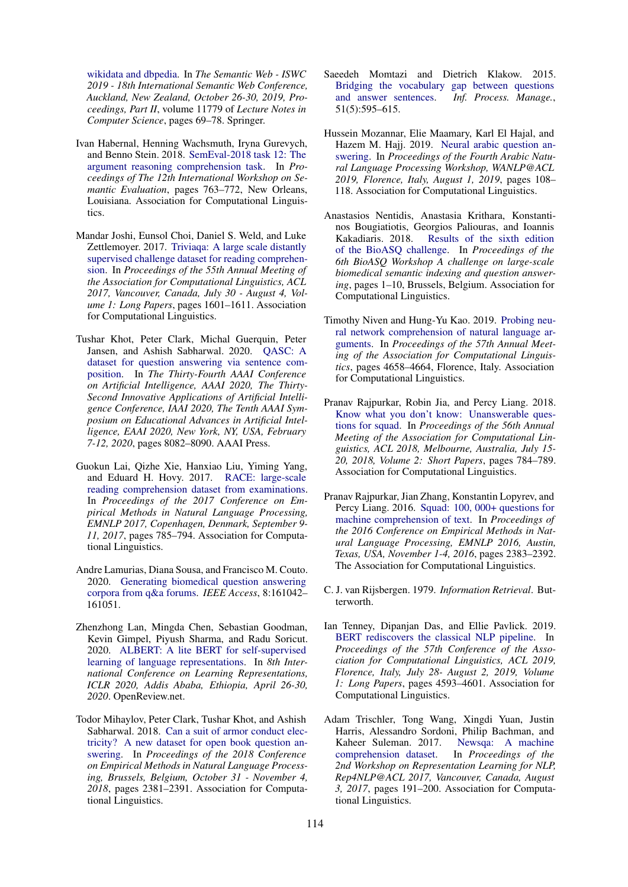[wikidata and dbpedia.](https://doi.org/10.1007/978-3-030-30796-7_5) In *The Semantic Web - ISWC 2019 - 18th International Semantic Web Conference, Auckland, New Zealand, October 26-30, 2019, Proceedings, Part II*, volume 11779 of *Lecture Notes in Computer Science*, pages 69–78. Springer.

- <span id="page-9-3"></span>Ivan Habernal, Henning Wachsmuth, Iryna Gurevych, and Benno Stein. 2018. [SemEval-2018 task 12: The](https://doi.org/10.18653/v1/S18-1121) [argument reasoning comprehension task.](https://doi.org/10.18653/v1/S18-1121) In *Proceedings of The 12th International Workshop on Semantic Evaluation*, pages 763–772, New Orleans, Louisiana. Association for Computational Linguistics.
- <span id="page-9-8"></span>Mandar Joshi, Eunsol Choi, Daniel S. Weld, and Luke Zettlemoyer. 2017. [Triviaqa: A large scale distantly](https://doi.org/10.18653/v1/P17-1147) [supervised challenge dataset for reading comprehen](https://doi.org/10.18653/v1/P17-1147)[sion.](https://doi.org/10.18653/v1/P17-1147) In *Proceedings of the 55th Annual Meeting of the Association for Computational Linguistics, ACL 2017, Vancouver, Canada, July 30 - August 4, Volume 1: Long Papers*, pages 1601–1611. Association for Computational Linguistics.
- <span id="page-9-12"></span>Tushar Khot, Peter Clark, Michal Guerquin, Peter Jansen, and Ashish Sabharwal. 2020. [QASC: A](https://aaai.org/ojs/index.php/AAAI/article/view/6319) [dataset for question answering via sentence com](https://aaai.org/ojs/index.php/AAAI/article/view/6319)[position.](https://aaai.org/ojs/index.php/AAAI/article/view/6319) In *The Thirty-Fourth AAAI Conference on Artificial Intelligence, AAAI 2020, The Thirty-Second Innovative Applications of Artificial Intelligence Conference, IAAI 2020, The Tenth AAAI Symposium on Educational Advances in Artificial Intelligence, EAAI 2020, New York, NY, USA, February 7-12, 2020*, pages 8082–8090. AAAI Press.
- <span id="page-9-9"></span>Guokun Lai, Qizhe Xie, Hanxiao Liu, Yiming Yang, and Eduard H. Hovy. 2017. [RACE: large-scale](https://doi.org/10.18653/v1/d17-1082) [reading comprehension dataset from examinations.](https://doi.org/10.18653/v1/d17-1082) In *Proceedings of the 2017 Conference on Empirical Methods in Natural Language Processing, EMNLP 2017, Copenhagen, Denmark, September 9- 11, 2017*, pages 785–794. Association for Computational Linguistics.
- <span id="page-9-14"></span>Andre Lamurias, Diana Sousa, and Francisco M. Couto. 2020. [Generating biomedical question answering](https://doi.org/10.1109/ACCESS.2020.3020868) [corpora from q&a forums.](https://doi.org/10.1109/ACCESS.2020.3020868) *IEEE Access*, 8:161042– 161051.
- <span id="page-9-1"></span>Zhenzhong Lan, Mingda Chen, Sebastian Goodman, Kevin Gimpel, Piyush Sharma, and Radu Soricut. 2020. [ALBERT: A lite BERT for self-supervised](https://openreview.net/forum?id=H1eA7AEtvS) [learning of language representations.](https://openreview.net/forum?id=H1eA7AEtvS) In *8th International Conference on Learning Representations, ICLR 2020, Addis Ababa, Ethiopia, April 26-30, 2020*. OpenReview.net.
- <span id="page-9-10"></span>Todor Mihaylov, Peter Clark, Tushar Khot, and Ashish Sabharwal. 2018. [Can a suit of armor conduct elec](https://doi.org/10.18653/v1/d18-1260)[tricity? A new dataset for open book question an](https://doi.org/10.18653/v1/d18-1260)[swering.](https://doi.org/10.18653/v1/d18-1260) In *Proceedings of the 2018 Conference on Empirical Methods in Natural Language Processing, Brussels, Belgium, October 31 - November 4, 2018*, pages 2381–2391. Association for Computational Linguistics.
- <span id="page-9-11"></span>Saeedeh Momtazi and Dietrich Klakow. 2015. [Bridging the vocabulary gap between questions](https://doi.org/10.1016/j.ipm.2015.04.005) [and answer sentences.](https://doi.org/10.1016/j.ipm.2015.04.005) *Inf. Process. Manage.*, 51(5):595–615.
- <span id="page-9-7"></span>Hussein Mozannar, Elie Maamary, Karl El Hajal, and Hazem M. Hajj. 2019. [Neural arabic question an](https://doi.org/10.18653/v1/w19-4612)[swering.](https://doi.org/10.18653/v1/w19-4612) In *Proceedings of the Fourth Arabic Natural Language Processing Workshop, WANLP@ACL 2019, Florence, Italy, August 1, 2019*, pages 108– 118. Association for Computational Linguistics.
- <span id="page-9-13"></span>Anastasios Nentidis, Anastasia Krithara, Konstantinos Bougiatiotis, Georgios Paliouras, and Ioannis Kakadiaris. 2018. [Results of the sixth edition](https://doi.org/10.18653/v1/W18-5301) [of the BioASQ challenge.](https://doi.org/10.18653/v1/W18-5301) In *Proceedings of the 6th BioASQ Workshop A challenge on large-scale biomedical semantic indexing and question answering*, pages 1–10, Brussels, Belgium. Association for Computational Linguistics.
- <span id="page-9-4"></span>Timothy Niven and Hung-Yu Kao. 2019. [Probing neu](https://doi.org/10.18653/v1/P19-1459)[ral network comprehension of natural language ar](https://doi.org/10.18653/v1/P19-1459)[guments.](https://doi.org/10.18653/v1/P19-1459) In *Proceedings of the 57th Annual Meeting of the Association for Computational Linguistics*, pages 4658–4664, Florence, Italy. Association for Computational Linguistics.
- <span id="page-9-0"></span>Pranav Rajpurkar, Robin Jia, and Percy Liang. 2018. [Know what you don't know: Unanswerable ques](https://doi.org/10.18653/v1/P18-2124)[tions for squad.](https://doi.org/10.18653/v1/P18-2124) In *Proceedings of the 56th Annual Meeting of the Association for Computational Linguistics, ACL 2018, Melbourne, Australia, July 15- 20, 2018, Volume 2: Short Papers*, pages 784–789. Association for Computational Linguistics.
- <span id="page-9-5"></span>Pranav Rajpurkar, Jian Zhang, Konstantin Lopyrev, and Percy Liang. 2016. [Squad: 100, 000+ questions for](https://doi.org/10.18653/v1/d16-1264) [machine comprehension of text.](https://doi.org/10.18653/v1/d16-1264) In *Proceedings of the 2016 Conference on Empirical Methods in Natural Language Processing, EMNLP 2016, Austin, Texas, USA, November 1-4, 2016*, pages 2383–2392. The Association for Computational Linguistics.
- <span id="page-9-15"></span>C. J. van Rijsbergen. 1979. *Information Retrieval*. Butterworth.
- <span id="page-9-2"></span>Ian Tenney, Dipanjan Das, and Ellie Pavlick. 2019. [BERT rediscovers the classical NLP pipeline.](https://doi.org/10.18653/v1/p19-1452) In *Proceedings of the 57th Conference of the Association for Computational Linguistics, ACL 2019, Florence, Italy, July 28- August 2, 2019, Volume 1: Long Papers*, pages 4593–4601. Association for Computational Linguistics.
- <span id="page-9-6"></span>Adam Trischler, Tong Wang, Xingdi Yuan, Justin Harris, Alessandro Sordoni, Philip Bachman, and<br>Kaheer Suleman. 2017. Newsqa: A machine Kaheer Suleman. 2017. [comprehension dataset.](https://doi.org/10.18653/v1/w17-2623) In *Proceedings of the 2nd Workshop on Representation Learning for NLP, Rep4NLP@ACL 2017, Vancouver, Canada, August 3, 2017*, pages 191–200. Association for Computational Linguistics.